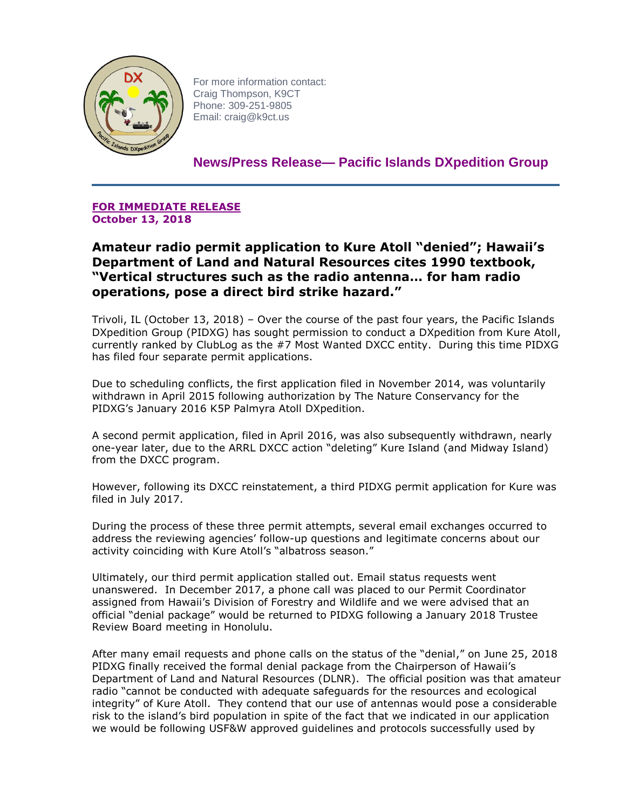

For more information contact: Craig Thompson, K9CT Phone: 309-251-9805 Email: craig@k9ct.us

**News/Press Release— Pacific Islands DXpedition Group**

**FOR IMMEDIATE RELEASE October 13, 2018**

**Amateur radio permit application to Kure Atoll "denied"; Hawaii's Department of Land and Natural Resources cites 1990 textbook, "Vertical structures such as the radio antenna… for ham radio operations, pose a direct bird strike hazard."** 

Trivoli, IL (October 13, 2018) – Over the course of the past four years, the Pacific Islands DXpedition Group (PIDXG) has sought permission to conduct a DXpedition from Kure Atoll, currently ranked by ClubLog as the #7 Most Wanted DXCC entity. During this time PIDXG has filed four separate permit applications.

Due to scheduling conflicts, the first application filed in November 2014, was voluntarily withdrawn in April 2015 following authorization by The Nature Conservancy for the PIDXG's January 2016 K5P Palmyra Atoll DXpedition.

A second permit application, filed in April 2016, was also subsequently withdrawn, nearly one-year later, due to the ARRL DXCC action "deleting" Kure Island (and Midway Island) from the DXCC program.

However, following its DXCC reinstatement, a third PIDXG permit application for Kure was filed in July 2017.

During the process of these three permit attempts, several email exchanges occurred to address the reviewing agencies' follow-up questions and legitimate concerns about our activity coinciding with Kure Atoll's "albatross season."

Ultimately, our third permit application stalled out. Email status requests went unanswered. In December 2017, a phone call was placed to our Permit Coordinator assigned from Hawaii's Division of Forestry and Wildlife and we were advised that an official "denial package" would be returned to PIDXG following a January 2018 Trustee Review Board meeting in Honolulu.

After many email requests and phone calls on the status of the "denial," on June 25, 2018 PIDXG finally received the formal denial package from the Chairperson of Hawaii's Department of Land and Natural Resources (DLNR). The official position was that amateur radio "cannot be conducted with adequate safeguards for the resources and ecological integrity" of Kure Atoll. They contend that our use of antennas would pose a considerable risk to the island's bird population in spite of the fact that we indicated in our application we would be following USF&W approved guidelines and protocols successfully used by